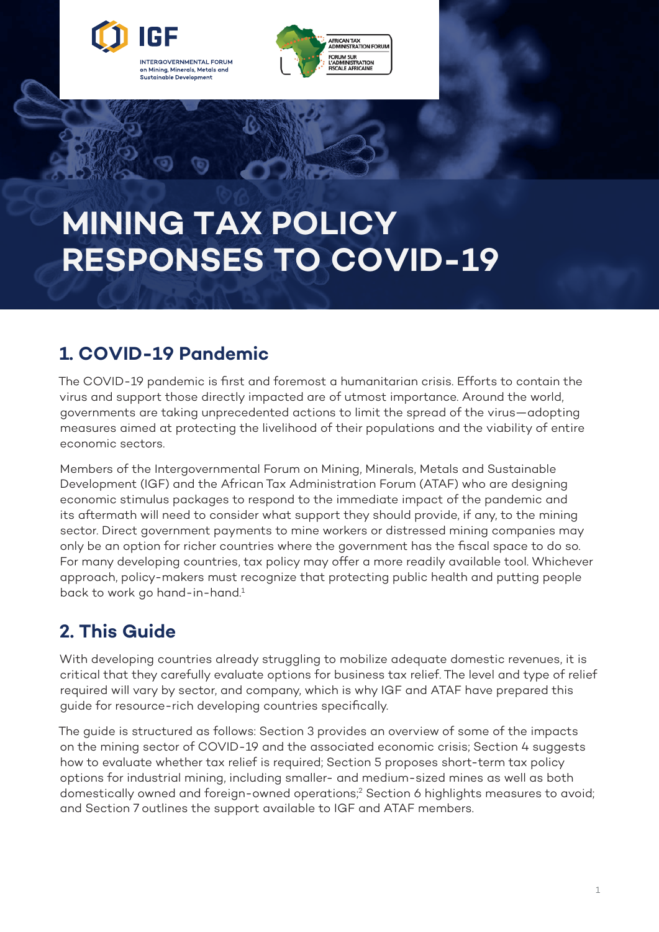<span id="page-0-0"></span>

on Mining, Minerals, Metals and Sustainable Development

**FRICAN TAX<br>DMINISTRATION FORUN** -<br>FORUM SUR<br>L'ADMINISTRATION<br>FISCALE AFRICAINE

MINING TAX POLICY RESPONSES TO COVID-19

# **MINING TAX POLICY RESPONSES TO COVID-19**

## **1. COVID-19 Pandemic**

The COVID-19 pandemic is first and foremost a humanitarian crisis. Efforts to contain the virus and support those directly impacted are of utmost importance. Around the world, governments are taking unprecedented actions to limit the spread of the virus—adopting measures aimed at protecting the livelihood of their populations and the viability of entire economic sectors.

Members of the Intergovernmental Forum on Mining, Minerals, Metals and Sustainable Development (IGF) and the African Tax Administration Forum (ATAF) who are designing economic stimulus packages to respond to the immediate impact of the pandemic and its aftermath will need to consider what support they should provide, if any, to the mining sector. Direct government payments to mine workers or distressed mining companies may only be an option for richer countries where the government has the fiscal space to do so. For many developing countries, tax policy may offer a more readily available tool. Whichever approach, policy-makers must recognize that protecting public health and putting people back to work go hand-in-hand.<sup>1</sup>

# **2. This Guide**

With developing countries already struggling to mobilize adequate domestic revenues, it is critical that they carefully evaluate options for business tax relief. The level and type of relief required will vary by sector, and company, which is why IGF and ATAF have prepared this guide for resource-rich developing countries specifically.

The guide is structured as follows: Section 3 provides an overview of some of the impacts on the mining sector of COVID-19 and the associated economic crisis; Section 4 suggests how to evaluate whether tax relief is required; Section 5 proposes short-term tax policy options for industrial mining, including smaller- and medium-sized mines as well as both domestically owned and foreign-owned operations[;2](#page-8-0) Section 6 highlights measures to avoid; and Section 7 outlines the support available to IGF and ATAF members.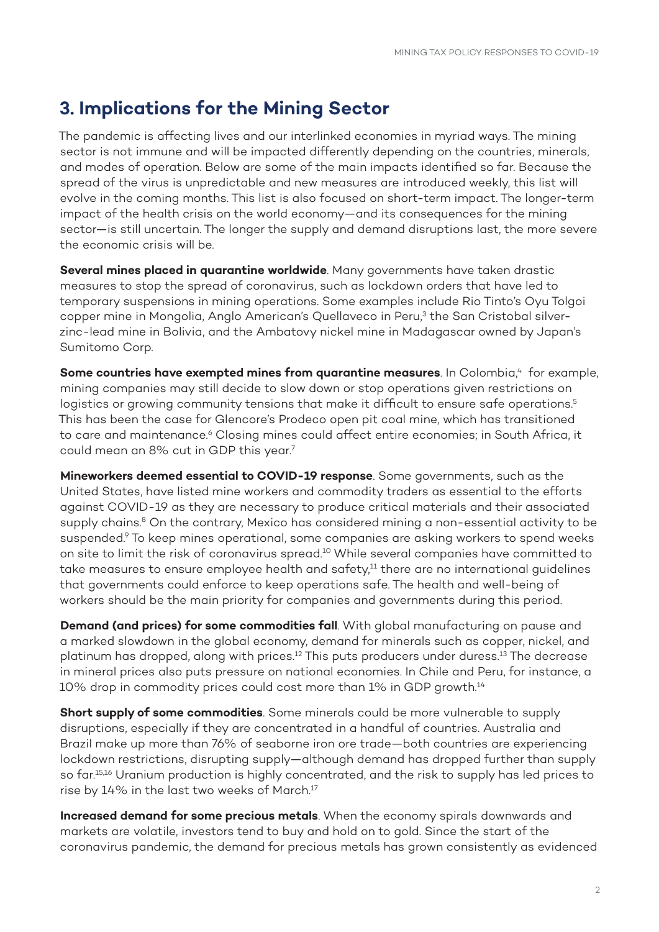### <span id="page-1-0"></span>**3. Implications for the Mining Sector**

The pandemic is affecting lives and our interlinked economies in myriad ways. The mining sector is not immune and will be impacted differently depending on the countries, minerals, and modes of operation. Below are some of the main impacts identified so far. Because the spread of the virus is unpredictable and new measures are introduced weekly, this list will evolve in the coming months. This list is also focused on short-term impact. The longer-term impact of the health crisis on the world economy—and its consequences for the mining sector—is still uncertain. The longer the supply and demand disruptions last, the more severe the economic crisis will be.

**Several mines placed in quarantine worldwide**. Many governments have taken drastic measures to stop the spread of coronavirus, such as lockdown orders that have led to temporary suspensions in mining operations. Some examples include Rio Tinto's Oyu Tolgoi copper mine in Mongolia, Anglo American's Quellaveco in Peru,<sup>[3](#page-8-0)</sup> the San Cristobal silverzinc-lead mine in Bolivia, and the Ambatovy nickel mine in Madagascar owned by Japan's Sumitomo Corp.

**Some countries have exempted mines from quarantine measures**. In Colombia,<sup>4</sup> for example, mining companies may still decide to slow down or stop operations given restrictions on logistics or growing community tensions that make it difficult to ensure safe operations.<sup>[5](#page-8-0)</sup> This has been the case for Glencore's Prodeco open pit coal mine, which has transitioned to care and maintenance.<sup>6</sup> Closing mines could affect entire economies; in South Africa, it could mean an 8% cut in GDP this year[.7](#page-8-0)

**Mineworkers deemed essential to COVID-19 response**. Some governments, such as the United States, have listed mine workers and commodity traders as essential to the efforts against COVID-19 as they are necessary to produce critical materials and their associated supply chains.<sup>8</sup> On the contrary, Mexico has considered mining a non-essential activity to be suspended.<sup>9</sup> To keep mines operational, some companies are asking workers to spend weeks on site to limit the risk of coronavirus spread.<sup>10</sup> While several companies have committed to take measures to ensure employee health and safety,<sup>11</sup> there are no international guidelines that governments could enforce to keep operations safe. The health and well-being of workers should be the main priority for companies and governments during this period.

**Demand (and prices) for some commodities fall**. With global manufacturing on pause and a marked slowdown in the global economy, demand for minerals such as copper, nickel, and platinum has dropped, along with prices.<sup>12</sup> This puts producers under duress.<sup>13</sup> The decrease in mineral prices also puts pressure on national economies. In Chile and Peru, for instance, a 10% drop in commodity prices could cost more than 1% in GDP growth.<sup>14</sup>

**Short supply of some commodities**. Some minerals could be more vulnerable to supply disruptions, especially if they are concentrated in a handful of countries. Australia and Brazil make up more than 76% of seaborne iron ore trade—both countries are experiencing lockdown restrictions, disrupting supply—although demand has dropped further than supply so far.<sup>15,16</sup> Uranium production is highly concentrated, and the risk to supply has led prices to rise by 14% in the last two weeks of March.[17](#page-8-0) 

**Increased demand for some precious metals**. When the economy spirals downwards and markets are volatile, investors tend to buy and hold on to gold. Since the start of the coronavirus pandemic, the demand for precious metals has grown consistently as evidenced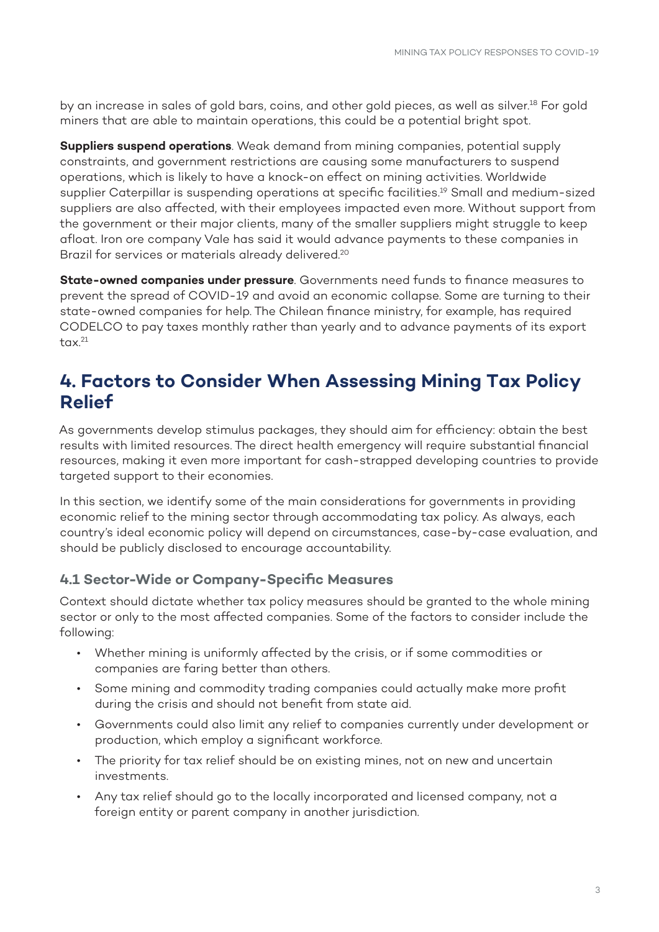<span id="page-2-0"></span>by an increase in sales of gold bars, coins, and other gold pieces, as well as silver.<sup>18</sup> For gold miners that are able to maintain operations, this could be a potential bright spot.

**Suppliers suspend operations**. Weak demand from mining companies, potential supply constraints, and government restrictions are causing some manufacturers to suspend operations, which is likely to have a knock-on effect on mining activities. Worldwide supplier Caterpillar is suspending operations at specific facilities.[19](#page-8-0) Small and medium-sized suppliers are also affected, with their employees impacted even more. Without support from the government or their major clients, many of the smaller suppliers might struggle to keep afloat. Iron ore company Vale has said it would advance payments to these companies in Brazil for services or materials already delivered.<sup>20</sup>

**State-owned companies under pressure**. Governments need funds to finance measures to prevent the spread of COVID-19 and avoid an economic collapse. Some are turning to their state-owned companies for help. The Chilean finance ministry, for example, has required CODELCO to pay taxes monthly rather than yearly and to advance payments of its export  $tax.<sup>21</sup>$ 

### **4. Factors to Consider When Assessing Mining Tax Policy Relief**

As governments develop stimulus packages, they should aim for efficiency: obtain the best results with limited resources. The direct health emergency will require substantial financial resources, making it even more important for cash-strapped developing countries to provide targeted support to their economies.

In this section, we identify some of the main considerations for governments in providing economic relief to the mining sector through accommodating tax policy. As always, each country's ideal economic policy will depend on circumstances, case-by-case evaluation, and should be publicly disclosed to encourage accountability.

#### **4.1 Sector-Wide or Company-Specific Measures**

Context should dictate whether tax policy measures should be granted to the whole mining sector or only to the most affected companies. Some of the factors to consider include the following:

- Whether mining is uniformly affected by the crisis, or if some commodities or companies are faring better than others.
- Some mining and commodity trading companies could actually make more profit during the crisis and should not benefit from state aid.
- Governments could also limit any relief to companies currently under development or production, which employ a significant workforce.
- The priority for tax relief should be on existing mines, not on new and uncertain investments.
- Any tax relief should go to the locally incorporated and licensed company, not a foreign entity or parent company in another jurisdiction.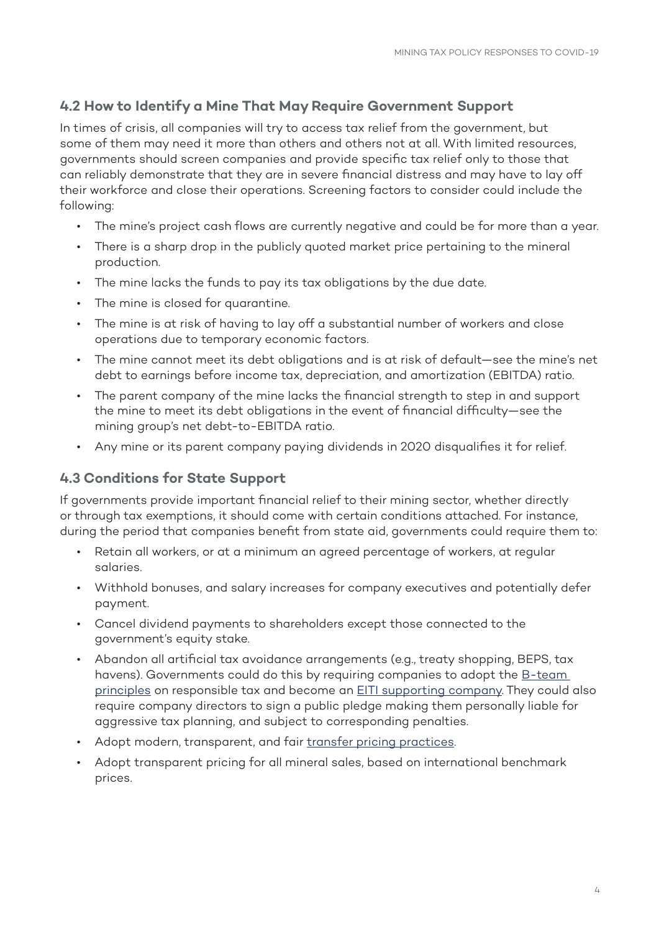#### **4.2 How to Identify a Mine That May Require Government Support**

In times of crisis, all companies will try to access tax relief from the government, but some of them may need it more than others and others not at all. With limited resources, governments should screen companies and provide specific tax relief only to those that can reliably demonstrate that they are in severe financial distress and may have to lay off their workforce and close their operations. Screening factors to consider could include the following:

- The mine's project cash flows are currently negative and could be for more than a year.
- There is a sharp drop in the publicly quoted market price pertaining to the mineral production.
- The mine lacks the funds to pay its tax obligations by the due date.
- The mine is closed for quarantine.
- The mine is at risk of having to lay off a substantial number of workers and close operations due to temporary economic factors.
- The mine cannot meet its debt obligations and is at risk of default—see the mine's net debt to earnings before income tax, depreciation, and amortization (EBITDA) ratio.
- The parent company of the mine lacks the financial strength to step in and support the mine to meet its debt obligations in the event of financial difficulty—see the mining group's net debt-to-EBITDA ratio.
- Any mine or its parent company paying dividends in 2020 disqualifies it for relief.

#### **4.3 Conditions for State Support**

If governments provide important financial relief to their mining sector, whether directly or through tax exemptions, it should come with certain conditions attached. For instance, during the period that companies benefit from state aid, governments could require them to:

- Retain all workers, or at a minimum an agreed percentage of workers, at regular salaries.
- Withhold bonuses, and salary increases for company executives and potentially defer payment.
- Cancel dividend payments to shareholders except those connected to the government's equity stake.
- Abandon all artificial tax avoidance arrangements (e.g., treaty shopping, BEPS, tax havens). Governments could do this by requiring companies to adopt the B-team [principles](https://bteam.org/assets/reports/A-New-Bar-for-Responsible-Tax.pdf) on responsible tax and become an **EITI** supporting company. They could also require company directors to sign a public pledge making them personally liable for aggressive tax planning, and subject to corresponding penalties.
- Adopt modern, transparent, and fair [transfer pricing practices](http://www.oecd.org/tax/beps/beps-actions/action8-10/).
- Adopt transparent pricing for all mineral sales, based on international benchmark prices.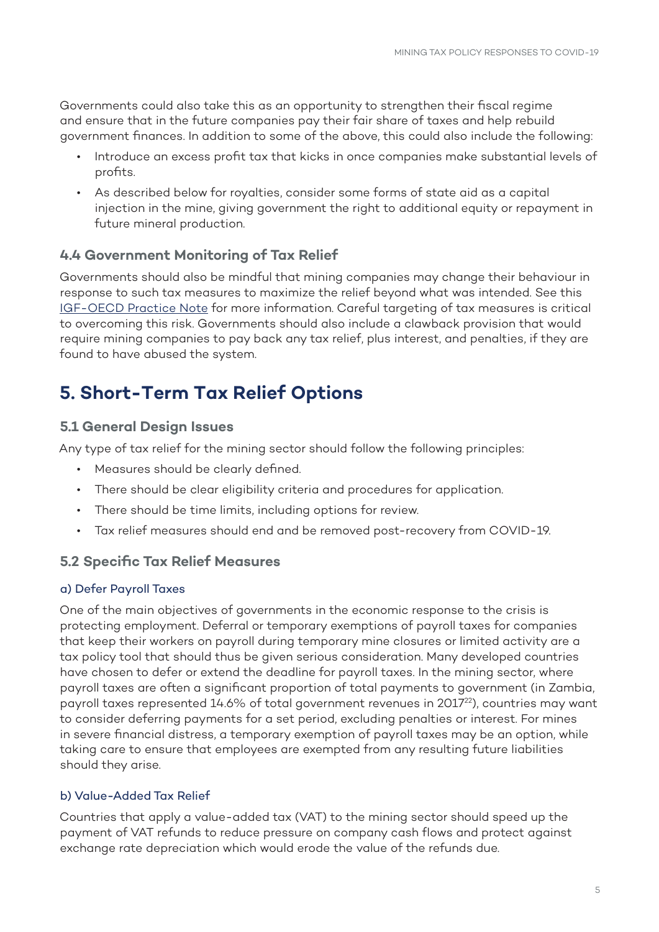<span id="page-4-0"></span>Governments could also take this as an opportunity to strengthen their fiscal regime and ensure that in the future companies pay their fair share of taxes and help rebuild government finances. In addition to some of the above, this could also include the following:

- Introduce an excess profit tax that kicks in once companies make substantial levels of profits.
- As described below for royalties, consider some forms of state aid as a capital injection in the mine, giving government the right to additional equity or repayment in future mineral production.

#### **4.4 Government Monitoring of Tax Relief**

Governments should also be mindful that mining companies may change their behaviour in response to such tax measures to maximize the relief beyond what was intended. See this [IGF-OECD Practice Note](http://www.oecd.org/tax/beps/tax-incentives-in-mining-minimising-risks-to-revenue-oecd-igf.pdf) for more information. Careful targeting of tax measures is critical to overcoming this risk. Governments should also include a clawback provision that would require mining companies to pay back any tax relief, plus interest, and penalties, if they are found to have abused the system.

### **5. Short-Term Tax Relief Options**

#### **5.1 General Design Issues**

Any type of tax relief for the mining sector should follow the following principles:

- Measures should be clearly defined.
- There should be clear eligibility criteria and procedures for application.
- There should be time limits, including options for review.
- Tax relief measures should end and be removed post-recovery from COVID-19.

#### **5.2 Specific Tax Relief Measures**

#### a) Defer Payroll Taxes

One of the main objectives of governments in the economic response to the crisis is protecting employment. Deferral or temporary exemptions of payroll taxes for companies that keep their workers on payroll during temporary mine closures or limited activity are a tax policy tool that should thus be given serious consideration. Many developed countries have chosen to defer or extend the deadline for payroll taxes. In the mining sector, where payroll taxes are often a significant proportion of total payments to government (in Zambia, payroll taxes represented 14.6% of total government revenues in 2017<sup>22</sup>), countries may want to consider deferring payments for a set period, excluding penalties or interest. For mines in severe financial distress, a temporary exemption of payroll taxes may be an option, while taking care to ensure that employees are exempted from any resulting future liabilities should they arise.

#### b) Value-Added Tax Relief

Countries that apply a value-added tax (VAT) to the mining sector should speed up the payment of VAT refunds to reduce pressure on company cash flows and protect against exchange rate depreciation which would erode the value of the refunds due.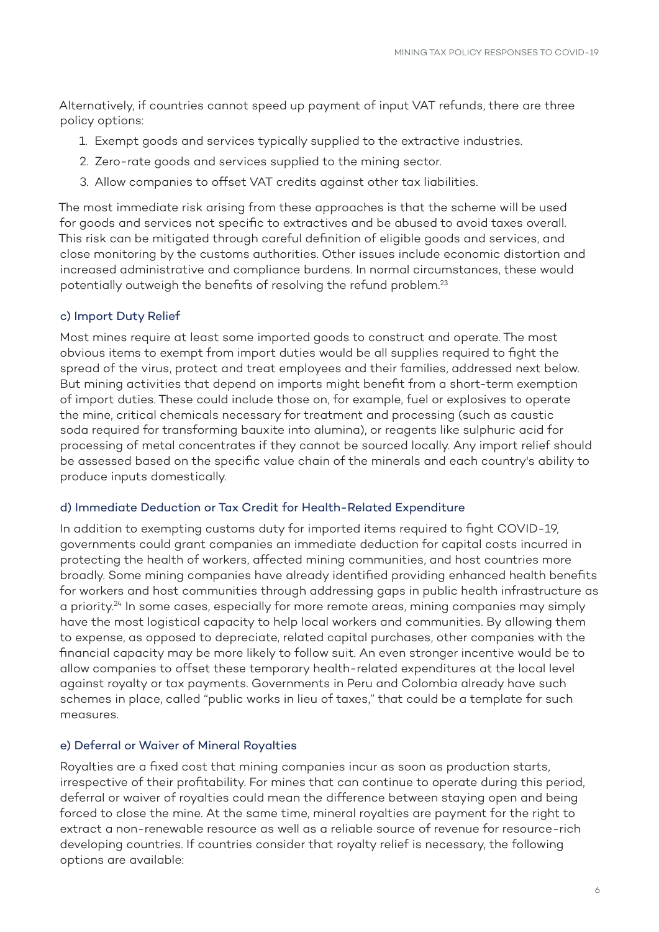<span id="page-5-0"></span>Alternatively, if countries cannot speed up payment of input VAT refunds, there are three policy options:

- 1. Exempt goods and services typically supplied to the extractive industries.
- 2. Zero-rate goods and services supplied to the mining sector.
- 3. Allow companies to offset VAT credits against other tax liabilities.

The most immediate risk arising from these approaches is that the scheme will be used for goods and services not specific to extractives and be abused to avoid taxes overall. This risk can be mitigated through careful definition of eligible goods and services, and close monitoring by the customs authorities. Other issues include economic distortion and increased administrative and compliance burdens. In normal circumstances, these would potentially outweigh the benefits of resolving the refund problem.<sup>[23](#page-8-0)</sup>

#### c) Import Duty Relief

Most mines require at least some imported goods to construct and operate. The most obvious items to exempt from import duties would be all supplies required to fight the spread of the virus, protect and treat employees and their families, addressed next below. But mining activities that depend on imports might benefit from a short-term exemption of import duties. These could include those on, for example, fuel or explosives to operate the mine, critical chemicals necessary for treatment and processing (such as caustic soda required for transforming bauxite into alumina), or reagents like sulphuric acid for processing of metal concentrates if they cannot be sourced locally. Any import relief should be assessed based on the specific value chain of the minerals and each country's ability to produce inputs domestically.

#### d) Immediate Deduction or Tax Credit for Health-Related Expenditure

In addition to exempting customs duty for imported items required to fight COVID-19, governments could grant companies an immediate deduction for capital costs incurred in protecting the health of workers, affected mining communities, and host countries more broadly. Some mining companies have already identified providing enhanced health benefits for workers and host communities through addressing gaps in public health infrastructure as a priority.<sup>[24](#page-8-0)</sup> In some cases, especially for more remote areas, mining companies may simply have the most logistical capacity to help local workers and communities. By allowing them to expense, as opposed to depreciate, related capital purchases, other companies with the financial capacity may be more likely to follow suit. An even stronger incentive would be to allow companies to offset these temporary health-related expenditures at the local level against royalty or tax payments. Governments in Peru and Colombia already have such schemes in place, called "public works in lieu of taxes," that could be a template for such measures.

#### e) Deferral or Waiver of Mineral Royalties

Royalties are a fixed cost that mining companies incur as soon as production starts, irrespective of their profitability. For mines that can continue to operate during this period, deferral or waiver of royalties could mean the difference between staying open and being forced to close the mine. At the same time, mineral royalties are payment for the right to extract a non-renewable resource as well as a reliable source of revenue for resource-rich developing countries. If countries consider that royalty relief is necessary, the following options are available: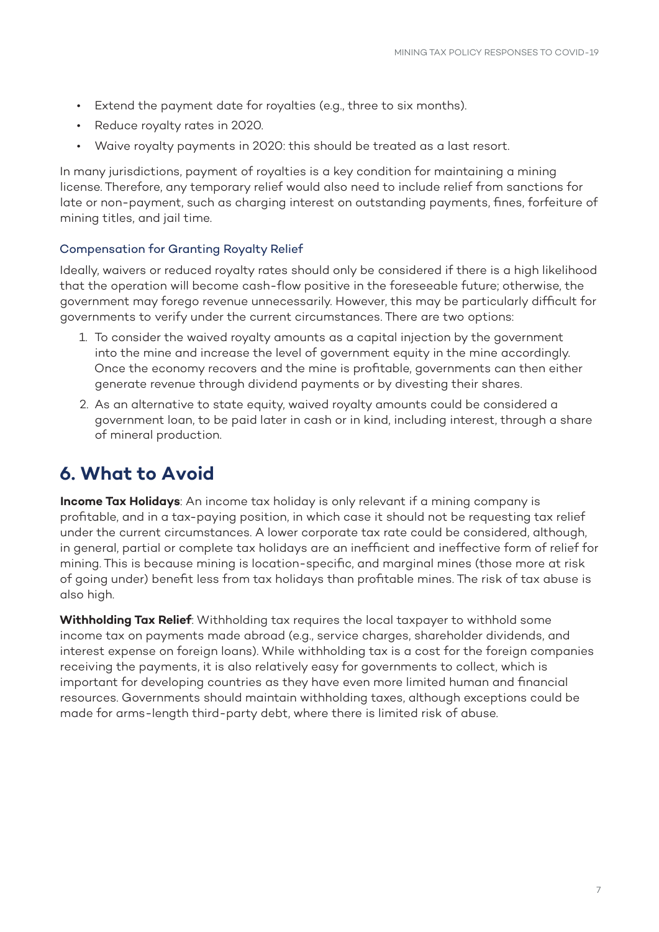- Extend the payment date for royalties (e.g., three to six months).
- Reduce royalty rates in 2020.
- Waive royalty payments in 2020: this should be treated as a last resort.

In many jurisdictions, payment of royalties is a key condition for maintaining a mining license. Therefore, any temporary relief would also need to include relief from sanctions for late or non-payment, such as charging interest on outstanding payments, fines, forfeiture of mining titles, and jail time.

#### Compensation for Granting Royalty Relief

Ideally, waivers or reduced royalty rates should only be considered if there is a high likelihood that the operation will become cash-flow positive in the foreseeable future; otherwise, the government may forego revenue unnecessarily. However, this may be particularly difficult for governments to verify under the current circumstances. There are two options:

- 1. To consider the waived royalty amounts as a capital injection by the government into the mine and increase the level of government equity in the mine accordingly. Once the economy recovers and the mine is profitable, governments can then either generate revenue through dividend payments or by divesting their shares.
- 2. As an alternative to state equity, waived royalty amounts could be considered a government loan, to be paid later in cash or in kind, including interest, through a share of mineral production.

### **6. What to Avoid**

**Income Tax Holidays**: An income tax holiday is only relevant if a mining company is profitable, and in a tax-paying position, in which case it should not be requesting tax relief under the current circumstances. A lower corporate tax rate could be considered, although, in general, partial or complete tax holidays are an inefficient and ineffective form of relief for mining. This is because mining is location-specific, and marginal mines (those more at risk of going under) benefit less from tax holidays than profitable mines. The risk of tax abuse is also high.

**Withholding Tax Relief**: Withholding tax requires the local taxpayer to withhold some income tax on payments made abroad (e.g., service charges, shareholder dividends, and interest expense on foreign loans). While withholding tax is a cost for the foreign companies receiving the payments, it is also relatively easy for governments to collect, which is important for developing countries as they have even more limited human and financial resources. Governments should maintain withholding taxes, although exceptions could be made for arms-length third-party debt, where there is limited risk of abuse.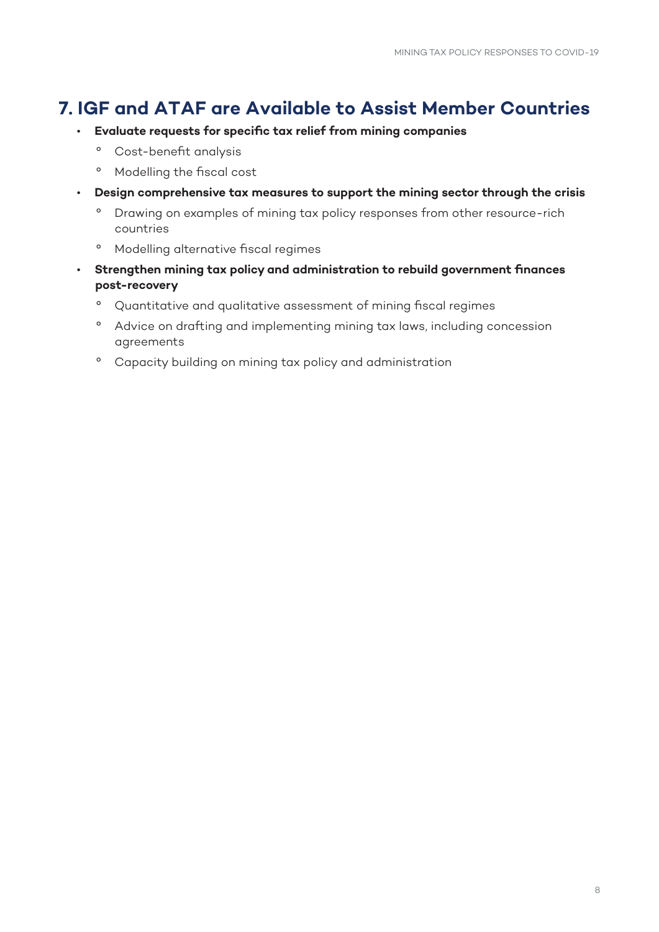### **7. IGF and ATAF are Available to Assist Member Countries**

- **Evaluate requests for specific tax relief from mining companies**
	- º Cost-benefit analysis
	- º Modelling the fiscal cost
- **Design comprehensive tax measures to support the mining sector through the crisis**
	- º Drawing on examples of mining tax policy responses from other resource-rich countries
	- º Modelling alternative fiscal regimes
- **Strengthen mining tax policy and administration to rebuild government finances post-recovery**
	- º Quantitative and qualitative assessment of mining fiscal regimes
	- º Advice on drafting and implementing mining tax laws, including concession agreements
	- º Capacity building on mining tax policy and administration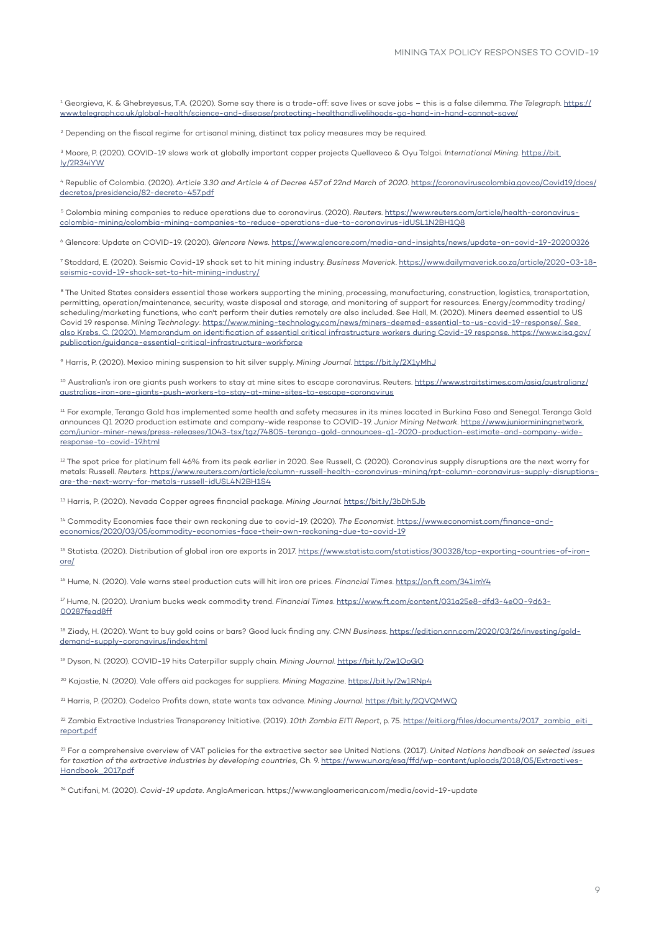<span id="page-8-0"></span>[1](#page-0-0) Georgieva, K. & Ghebreyesus, T.A. (2020). Some say there is a trade-off: save lives or save jobs – this is a false dilemma. *The Telegraph*. [https://](https://www.telegraph.co.uk/global-health/science-and-disease/protecting-healthandlivelihoods-go-hand-in-hand-cannot-save/) [www.telegraph.co.uk/global-health/science-and-disease/protecting-healthandlivelihoods-go-hand-in-hand-cannot-save/](https://www.telegraph.co.uk/global-health/science-and-disease/protecting-healthandlivelihoods-go-hand-in-hand-cannot-save/)

 $\rm ^2$  $\rm ^2$  Depending on the fiscal regime for artisanal mining, distinct tax policy measures may be required.

[3](#page-1-0) Moore, P. (2020). COVID-19 slows work at globally important copper projects Quellaveco & Oyu Tolgoi. *International Mining*. [https://bit.](https://bit.ly/2R34iYW) [ly/2R34iYW](https://bit.ly/2R34iYW)

[4](#page-1-0) Republic of Colombia. (2020). *Article 3.30 and Article 4 of Decree 457 of 22nd March of 2020*. [https://coronaviruscolombia.gov.co/Covid19/docs/](https://coronaviruscolombia.gov.co/Covid19/docs/decretos/presidencia/82-decreto-457.pdf) [decretos/presidencia/82-decreto-457.pdf](https://coronaviruscolombia.gov.co/Covid19/docs/decretos/presidencia/82-decreto-457.pdf)

[5](#page-1-0) Colombia mining companies to reduce operations due to coronavirus. (2020). *Reuters*. [https://www.reuters.com/article/health-coronavirus](https://www.reuters.com/article/health-coronavirus-colombia-mining/colombia-mining-companies-to-reduce-operations-due-to-coronavirus-idUSL1N2BH1Q8)[colombia-mining/colombia-mining-companies-to-reduce-operations-due-to-coronavirus-idUSL1N2BH1Q8](https://www.reuters.com/article/health-coronavirus-colombia-mining/colombia-mining-companies-to-reduce-operations-due-to-coronavirus-idUSL1N2BH1Q8)

[6](#page-1-0) Glencore: Update on COVID-19. (2020). *Glencore News*.<https://www.glencore.com/media-and-insights/news/update-on-covid-19-20200326>

[7](#page-1-0) Stoddard, E. (2020). Seismic Covid-19 shock set to hit mining industry. *Business Maverick*. [https://www.dailymaverick.co.za/article/2020-03-18](https://www.dailymaverick.co.za/article/2020-03-18-seismic-covid-19-shock-set-to-hit-mining-industry/) [seismic-covid-19-shock-set-to-hit-mining-industry/](https://www.dailymaverick.co.za/article/2020-03-18-seismic-covid-19-shock-set-to-hit-mining-industry/)

<sup>[8](#page-1-0)</sup> The United States considers essential those workers supporting the mining, processing, manufacturing, construction, logistics, transportation, permitting, operation/maintenance, security, waste disposal and storage, and monitoring of support for resources. Energy/commodity trading/ scheduling/marketing functions, who can't perform their duties remotely are also included. See Hall, M. (2020). Miners deemed essential to US Covid 19 response. *Mining Technology*. [https://www.mining-technology.com/news/miners-deemed-essential-to-us-covid-19-response/.](https://www.mining-technology.com/news/miners-deemed-essential-to-us-covid-19-response/) See also Krebs, C. (2020). Memorandum on identification of essential critical infrastructure workers during Covid-19 response. [https://www.cisa.gov/](https://www.cisa.gov/publication/guidance-essential-critical-infrastructure-workforce) [publication/guidance-essential-critical-infrastructure-workforce](https://www.cisa.gov/publication/guidance-essential-critical-infrastructure-workforce)

[9](#page-1-0) Harris, P. (2020). Mexico mining suspension to hit silver supply. *Mining Journal*. <https://bit.ly/2X1yMhJ>

<sup>[10](#page-1-0)</sup> Australian's iron ore giants push workers to stay at mine sites to escape coronavirus. Reuters. [https://www.straitstimes.com/asia/australianz/](https://www.straitstimes.com/asia/australianz/australias-iron-ore-giants-push-workers-to-stay-at-mine-sites-to-escape-coronavirus) [australias-iron-ore-giants-push-workers-to-stay-at-mine-sites-to-escape-coronavirus](https://www.straitstimes.com/asia/australianz/australias-iron-ore-giants-push-workers-to-stay-at-mine-sites-to-escape-coronavirus)

<sup>11</sup> For example, Teranga Gold has implemented some health and safety measures in its mines located in Burkina Faso and Senegal. Teranga Gold announces Q1 2020 production estimate and company-wide response to COVID-19. *Junior Mining Network*. [https://www.juniorminingnetwork.](https://www.juniorminingnetwork.com/junior-miner-news/press-releases/1043-tsx/tgz/74805-teranga-gold-announces-q1-2020-production-estimate-and-company-wide-response-to-covid-19.html) [com/junior-miner-news/press-releases/1043-tsx/tgz/74805-teranga-gold-announces-q1-2020-production-estimate-and-company-wide](https://www.juniorminingnetwork.com/junior-miner-news/press-releases/1043-tsx/tgz/74805-teranga-gold-announces-q1-2020-production-estimate-and-company-wide-response-to-covid-19.html)[response-to-covid-19.html](https://www.juniorminingnetwork.com/junior-miner-news/press-releases/1043-tsx/tgz/74805-teranga-gold-announces-q1-2020-production-estimate-and-company-wide-response-to-covid-19.html)

<sup>12</sup> The spot price for platinum fell 46% from its peak earlier in 2020. See Russell, C. (2020). Coronavirus supply disruptions are the next worry for metals: Russell. *Reuters*. [https://www.reuters.com/article/column-russell-health-coronavirus-mining/rpt-column-coronavirus-supply-disruptions](https://www.reuters.com/article/column-russell-health-coronavirus-mining/rpt-column-coronavirus-supply-disruptions-are-the-next-worry-for-metals-russell-idUSL4N2BH1S4)[are-the-next-worry-for-metals-russell-idUSL4N2BH1S4](https://www.reuters.com/article/column-russell-health-coronavirus-mining/rpt-column-coronavirus-supply-disruptions-are-the-next-worry-for-metals-russell-idUSL4N2BH1S4)

[13](#page-1-0) Harris, P. (2020). Nevada Copper agrees financial package. *Mining Journal.* <https://bit.ly/3bDh5Jb>

[14](#page-1-0) Commodity Economies face their own reckoning due to covid-19. (2020). *The Economist.* [https://www.economist.com/finance-and](https://www.economist.com/finance-and-economics/2020/03/05/commodity-economies-face-their-own-reckoning-due-to-covid-19)[economics/2020/03/05/commodity-economies-face-their-own-reckoning-due-to-covid-19](https://www.economist.com/finance-and-economics/2020/03/05/commodity-economies-face-their-own-reckoning-due-to-covid-19)

<sup>[15](#page-1-0)</sup> Statista. (2020). Distribution of global iron ore exports in 2017. [https://www.statista.com/statistics/300328/top-exporting-countries-of-iron](https://www.statista.com/statistics/300328/top-exporting-countries-of-iron-ore/)[ore/](https://www.statista.com/statistics/300328/top-exporting-countries-of-iron-ore/)

[16](#page-1-0) Hume, N. (2020). Vale warns steel production cuts will hit iron ore prices. *Financial Times*. <https://on.ft.com/341imY4>

[17](#page-1-0) Hume, N. (2020). Uranium bucks weak commodity trend. *Financial Times*. [https://www.ft.com/content/031a25e8-dfd3-4e00-9d63-](https://www.ft.com/content/031a25e8-dfd3-4e00-9d63-00287fead8ff) [00287fead8ff](https://www.ft.com/content/031a25e8-dfd3-4e00-9d63-00287fead8ff)

[18](#page-2-0) Ziady, H. (2020). Want to buy gold coins or bars? Good luck finding any. *CNN Business*. [https://edition.cnn.com/2020/03/26/investing/gold](https://edition.cnn.com/2020/03/26/investing/gold-demand-supply-coronavirus/index.html)[demand-supply-coronavirus/index.html](https://edition.cnn.com/2020/03/26/investing/gold-demand-supply-coronavirus/index.html)

[19](#page-2-0) Dyson, N. (2020). COVID-19 hits Caterpillar supply chain. *Mining Journal*. <https://bit.ly/2w1OoGO>

[20](#page-2-0) Kajastie, N. (2020). Vale offers aid packages for suppliers. *Mining Magazine*. <https://bit.ly/2w1RNp4>

[21](#page-2-0) Harris, P. (2020). Codelco Profits down, state wants tax advance. *Mining Journal*.<https://bit.ly/2QVQMWQ>

[22](#page-4-0) Zambia Extractive Industries Transparency Initiative. (2019). *10th Zambia EITI Report*, p. 75. [https://eiti.org/files/documents/2017\\_zambia\\_eiti\\_](https://eiti.org/files/documents/2017_zambia_eiti_report.pdf) [report.pdf](https://eiti.org/files/documents/2017_zambia_eiti_report.pdf)

23 For a comprehensive overview of VAT policies for the extractive sector see United Nations. (2017). *United Nations handbook on selected issues for taxation of the extractive industries by developing countries*, Ch. 9. [https://www.un.org/esa/ffd/wp-content/uploads/2018/05/Extractives-](https://www.un.org/esa/ffd/wp-content/uploads/2018/05/Extractives-Handbook_2017.pdf)[Handbook\\_2017.pdf](https://www.un.org/esa/ffd/wp-content/uploads/2018/05/Extractives-Handbook_2017.pdf)

[24](#page-5-0) Cutifani, M. (2020). *Covid-19 update*. AngloAmerican.<https://www.angloamerican.com/media/covid-19-update>